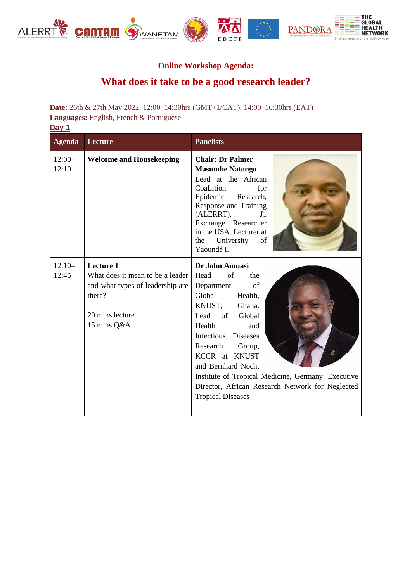

## **Online Workshop Agenda:**

## **What does it take to be a good research leader?**

**Date:** 26th & 27th May 2022, 12:00–14:30hrs (GMT+1/CAT), 14:00–16:30hrs (EAT) **Languages:** English, French & Portuguese **Day 1**

| <b>Agenda</b>     | <b>Lecture</b>                                                                                                                | <b>Panelists</b>                                                                                                                                                                                                                                                                                                                                                        |
|-------------------|-------------------------------------------------------------------------------------------------------------------------------|-------------------------------------------------------------------------------------------------------------------------------------------------------------------------------------------------------------------------------------------------------------------------------------------------------------------------------------------------------------------------|
| $12:00-$<br>12:10 | <b>Welcome and Housekeeping</b>                                                                                               | <b>Chair: Dr Palmer</b><br><b>Masumbe Natongo</b><br>Lead at the African<br>CoaLition<br>for<br>Research,<br>Epidemic<br>Response and Training<br>(ALERRT).<br>J <sub>1</sub><br>Exchange Researcher<br>in the USA. Lecturer at<br>of<br>University<br>the<br>Yaoundé I.                                                                                                |
| $12:10-$<br>12:45 | Lecture 1<br>What does it mean to be a leader<br>and what types of leadership are<br>there?<br>20 mins lecture<br>15 mins Q&A | Dr John Amuasi<br>Head<br>of<br>the<br>of<br>Department<br>Global<br>Health,<br>KNUST,<br>Ghana.<br>Lead of Global<br>Health<br>and<br>Infectious<br><b>Diseases</b><br>Research<br>Group,<br>KCCR at KNUST<br>and Bernhard Nocht<br>Institute of Tropical Medicine, Germany. Executive<br>Director, African Research Network for Neglected<br><b>Tropical Diseases</b> |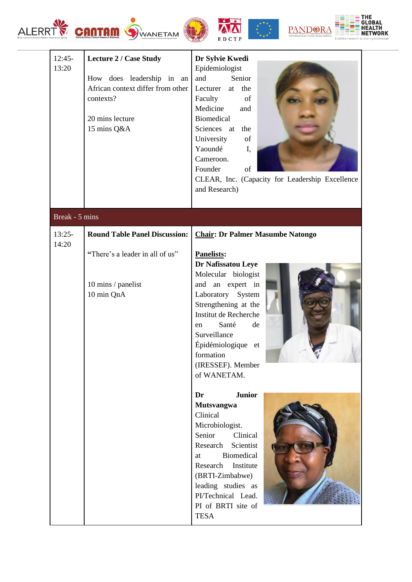











| $12:45-$<br>13:20 | <b>Lecture 2 / Case Study</b><br>How does leadership in an<br>African context differ from other<br>contexts?<br>20 mins lecture<br>15 mins Q&A | Dr Sylvie Kwedi<br>Epidemiologist<br>and<br>Senior<br>Lecturer at the<br>Faculty<br>of<br>Medicine<br>and<br>Biomedical<br>Sciences at<br>the<br>University<br>of<br>Yaoundé<br>I,<br>Cameroon.<br>Founder<br>of<br>CLEAR, Inc. (Capacity for Leadership Excellence<br>and Research) |
|-------------------|------------------------------------------------------------------------------------------------------------------------------------------------|--------------------------------------------------------------------------------------------------------------------------------------------------------------------------------------------------------------------------------------------------------------------------------------|
| Break - 5 mins    |                                                                                                                                                |                                                                                                                                                                                                                                                                                      |
| $13:25-$          | <b>Round Table Panel Discussion:</b>                                                                                                           | <b>Chair: Dr Palmer Masumbe Natongo</b>                                                                                                                                                                                                                                              |
| 14:20             | "There's a leader in all of us"<br>10 mins / panelist<br>10 min QnA                                                                            | <b>Panelists:</b><br>Dr Nafissatou Leye<br>Molecular biologist<br>and an expert in<br>Laboratory System<br>Strengthening at the<br>Institut de Recherche<br>Santé<br>de<br>en<br>Surveillance<br>Épidémiologique et<br>formation<br>(IRESSEF). Member<br>of WANETAM.                 |
|                   |                                                                                                                                                | <b>Junior</b><br>Dr<br><b>Mutsvangwa</b><br>Clinical<br>Microbiologist.<br>Senior<br>Clinical<br>Research<br>Scientist<br>Biomedical<br>at<br>Research Institute<br>(BRTI-Zimbabwe)<br>leading studies as<br>PI/Technical Lead.<br>PI of BRTI site of<br><b>TESA</b>                 |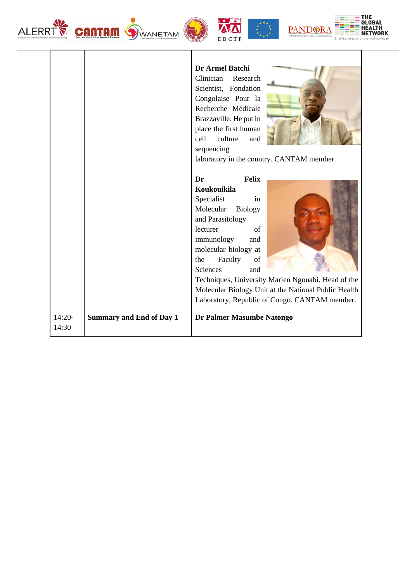| <b>ALERR</b>      | <b>CANTAM</b><br>WANETAM        | <b>PANDOR</b><br>EDCTP                                                                                                                                                                                                                                                                                                                                                     |
|-------------------|---------------------------------|----------------------------------------------------------------------------------------------------------------------------------------------------------------------------------------------------------------------------------------------------------------------------------------------------------------------------------------------------------------------------|
|                   |                                 | Dr Armel Batchi<br>Clinician<br>Research<br>Scientist, Fondation<br>Congolaise Pour la<br>Recherche Médicale<br>Brazzaville. He put in<br>place the first human<br>cell<br>culture<br>and<br>sequencing<br>laboratory in the country. CANTAM member.                                                                                                                       |
|                   |                                 | Felix<br>Dr<br>Koukouikila<br>Specialist<br>in<br>Molecular<br><b>Biology</b><br>and Parasitology<br>lecturer<br>of<br>immunology<br>and<br>molecular biology at<br>Faculty<br>the<br>of<br>Sciences<br>and<br>Techniques, University Marien Ngouabi. Head of the<br>Molecular Biology Unit at the National Public Health<br>Laboratory, Republic of Congo. CANTAM member. |
| $14:20-$<br>14:30 | <b>Summary and End of Day 1</b> | Dr Palmer Masumbe Natongo                                                                                                                                                                                                                                                                                                                                                  |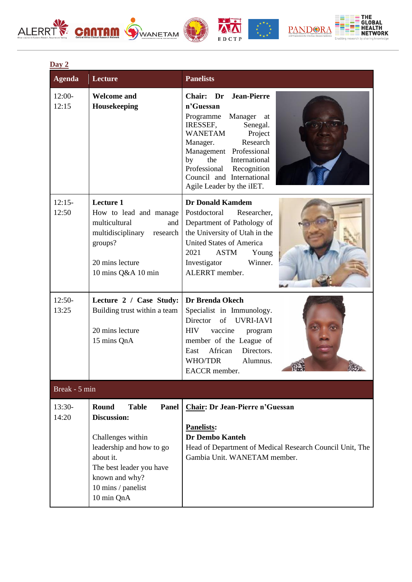## ALERRT CONTOM OWANETAM











| Day 2             |                                                                                                                                                                                                             |                                                                                                                                                                                                                                                                                                           |  |
|-------------------|-------------------------------------------------------------------------------------------------------------------------------------------------------------------------------------------------------------|-----------------------------------------------------------------------------------------------------------------------------------------------------------------------------------------------------------------------------------------------------------------------------------------------------------|--|
| <b>Agenda</b>     | <b>Lecture</b>                                                                                                                                                                                              | <b>Panelists</b>                                                                                                                                                                                                                                                                                          |  |
| $12:00-$<br>12:15 | <b>Welcome and</b><br>Housekeeping                                                                                                                                                                          | Chair: Dr<br><b>Jean-Pierre</b><br>n'Guessan<br>Programme<br>Manager<br>at<br>Senegal.<br>IRESSEF,<br><b>WANETAM</b><br>Project<br>Research<br>Manager.<br>Management Professional<br>the<br>International<br>by<br>Professional<br>Recognition<br>Council and International<br>Agile Leader by the iIET. |  |
| $12:15-$<br>12:50 | <b>Lecture 1</b><br>How to lead and manage<br>multicultural<br>and<br>multidisciplinary<br>research<br>groups?<br>20 mins lecture<br>10 mins Q&A 10 min                                                     | <b>Dr Donald Kamdem</b><br>Postdoctoral<br>Researcher.<br>Department of Pathology of<br>the University of Utah in the<br><b>United States of America</b><br>2021<br><b>ASTM</b><br>Young<br>Winner.<br>Investigator<br>ALERRT member.                                                                     |  |
| $12:50-$<br>13:25 | Lecture 2 / Case Study:<br>Building trust within a team<br>20 mins lecture<br>15 mins QnA                                                                                                                   | Dr Brenda Okech<br>Specialist in Immunology.<br>Director of UVRI-IAVI<br><b>HIV</b><br>vaccine<br>program<br>member of the League of<br>African<br>Directors.<br>East<br><b>WHO/TDR</b><br>Alumnus.<br>EACCR member.                                                                                      |  |
| Break - 5 min     |                                                                                                                                                                                                             |                                                                                                                                                                                                                                                                                                           |  |
| $13:30-$<br>14:20 | Round<br><b>Panel</b><br><b>Table</b><br><b>Discussion:</b><br>Challenges within<br>leadership and how to go<br>about it.<br>The best leader you have<br>known and why?<br>10 mins / panelist<br>10 min QnA | <b>Chair: Dr Jean-Pierre n'Guessan</b><br><b>Panelists:</b><br><b>Dr Dembo Kanteh</b><br>Head of Department of Medical Research Council Unit, The<br>Gambia Unit. WANETAM member.                                                                                                                         |  |